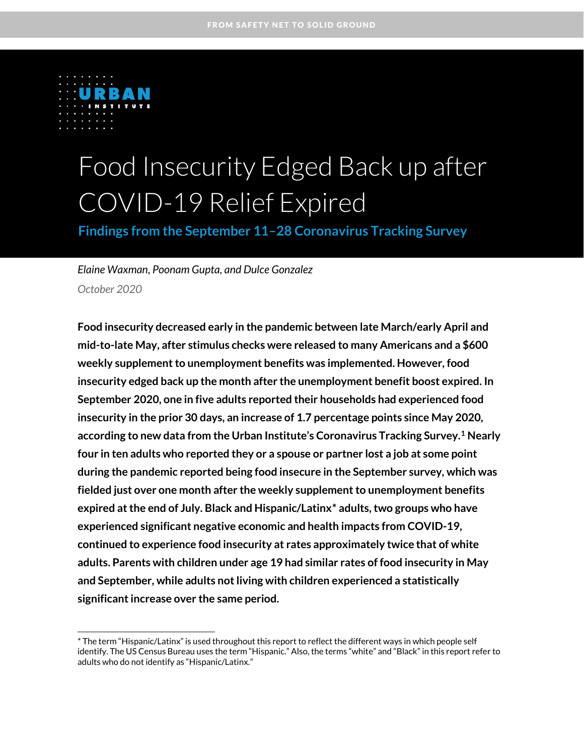

.

# Food Insecurity Edged Back up after COVID-19 Relief Expired

**Findings from the September 11–28 Coronavirus Tracking Survey**

*Elaine Waxman, Poonam Gupta, and Dulce Gonzalez October 2020*

**Food insecurity decreased early in the pandemic between late March/early April and mid-to-late May, after stimulus checks were released to many Americans and a \$600 weekly supplement to unemployment benefits was implemented. However, food insecurity edged back up the month after the unemployment benefit boost expired. In September 2020, one in five adults reported their households had experienced food insecurity in the prior 30 days, an increase of 1.7 percentage points since May 2020, according to new data from the Urban Institute's Coronavirus Tracking Survey.[1](#page-9-0) Nearly four in ten adults who reported they or a spouse or partner lost a job at some point during the pandemic reported being food insecure in the September survey, which was fielded just over one month after the weekly supplement to unemployment benefits expired at the end of July. Black and Hispanic/Latin[x\\*](#page-0-0) adults, two groups who have experienced significant negative economic and health impacts from COVID-19, continued to experience food insecurity at rates approximately twice that of white adults. Parents with children under age 19 had similar rates of food insecurity in May and September, while adults not living with children experienced a statistically significant increase over the same period.**

<span id="page-0-0"></span><sup>\*</sup> The term "Hispanic/Latinx" is used throughout this report to reflect the different ways in which people self identify. The US Census Bureau uses the term "Hispanic." Also, the terms "white" and "Black" in this report refer to adults who do not identify as "Hispanic/Latinx."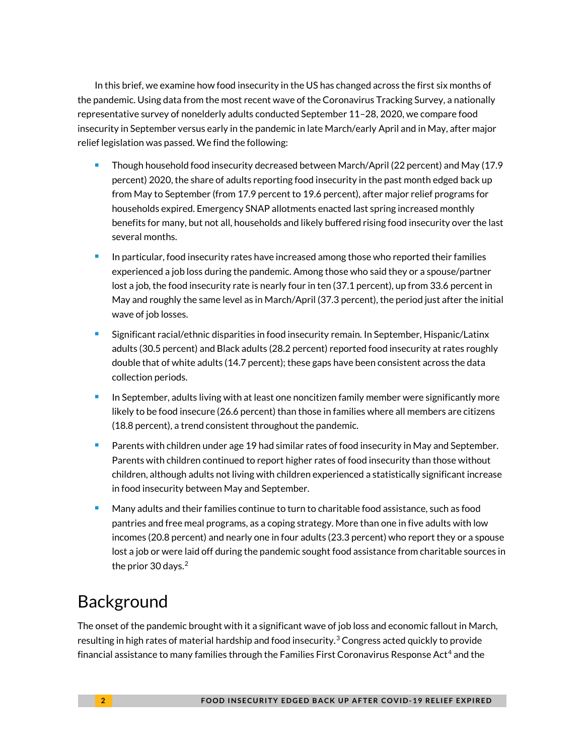In this brief, we examine how food insecurity in the US has changed across the first six months of the pandemic. Using data from the most recent wave of the Coronavirus Tracking Survey, a nationally representative survey of nonelderly adults conducted September 11–28, 2020, we compare food insecurity in September versus early in the pandemic in late March/early April and in May, after major relief legislation was passed. We find the following:

- Though household food insecurity decreased between March/April (22 percent) and May (17.9 percent) 2020, the share of adults reporting food insecurity in the past month edged back up from May to September (from 17.9 percent to 19.6 percent), after major relief programs for households expired. Emergency SNAP allotments enacted last spring increased monthly benefits for many, but not all, households and likely buffered rising food insecurity over the last several months.
- In particular, food insecurity rates have increased among those who reported their families experienced a job loss during the pandemic. Among those who said they or a spouse/partner lost a job, the food insecurity rate is nearly four in ten (37.1 percent), up from 33.6 percent in May and roughly the same level as in March/April (37.3 percent), the period just after the initial wave of job losses.
- Significant racial/ethnic disparities in food insecurity remain. In September, Hispanic/Latinx adults (30.5 percent) and Black adults (28.2 percent) reported food insecurity at rates roughly double that of white adults (14.7 percent); these gaps have been consistent across the data collection periods.
- In September, adults living with at least one noncitizen family member were significantly more likely to be food insecure (26.6 percent) than those in families where all members are citizens (18.8 percent), a trend consistent throughout the pandemic.
- **Parents with children under age 19 had similar rates of food insecurity in May and September.** Parents with children continued to report higher rates of food insecurity than those without children, although adults not living with children experienced a statistically significant increase in food insecurity between May and September.
- Many adults and their families continue to turn to charitable food assistance, such as food pantries and free meal programs, as a coping strategy. More than one in five adults with low incomes (20.8 percent) and nearly one in four adults (23.3 percent) who report they or a spouse lost a job or were laid off during the pandemic sought food assistance from charitable sources in the prior 30 days. [2](#page-9-1)

# Background

The onset of the pandemic brought with it a significant wave of job loss and economic fallout in March, resulting in high rates of material hardship and food insecurity.<sup>[3](#page-9-2)</sup> Congress acted quickly to provide financial assistance to many families through the Families First Coronavirus Response Act<sup>[4](#page-9-3)</sup> and the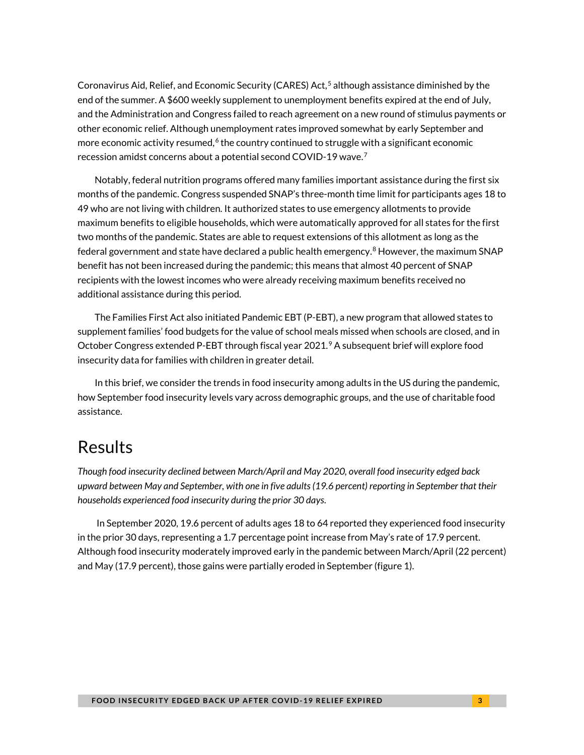Coronavirus Aid, Relief, and Economic Security (CARES) Act, [5](#page-9-4) although assistance diminished by the end of the summer. A \$600 weekly supplement to unemployment benefits expired at the end of July, and the Administration and Congress failed to reach agreement on a new round of stimulus payments or other economic relief. Although unemployment rates improved somewhat by early September and more economic activity resumed, $6$  the country continued to struggle with a significant economic recession amidst concerns about a potential second COVID-19 wave. [7](#page-9-6)

Notably, federal nutrition programs offered many families important assistance during the first six months of the pandemic. Congress suspended SNAP's three-month time limit for participants ages 18 to 49 who are not living with children. It authorized states to use emergency allotments to provide maximum benefits to eligible households, which were automatically approved for all states for the first two months of the pandemic. States are able to request extensions of this allotment as long as the federal government and state have declared a public health emergency.<sup>[8](#page-9-7)</sup> However, the maximum SNAP benefit has not been increased during the pandemic; this means that almost 40 percent of SNAP recipients with the lowest incomes who were already receiving maximum benefits received no additional assistance during this period.

The Families First Act also initiated Pandemic EBT (P-EBT), a new program that allowed states to supplement families' food budgets for the value of school meals missed when schools are closed, and in October Congress extended P-EBT through fiscal year 2021.<sup>[9](#page-9-8)</sup> A subsequent brief will explore food insecurity data for families with children in greater detail.

In this brief, we consider the trends in food insecurity among adults in the US during the pandemic, how September food insecurity levels vary across demographic groups, and the use of charitable food assistance.

### Results

*Though food insecurity declined between March/April and May 2020, overall food insecurity edged back upward between May and September, with one in five adults (19.6 percent) reporting in September that their households experienced food insecurity during the prior 30 days*.

In September 2020, 19.6 percent of adults ages 18 to 64 reported they experienced food insecurity in the prior 30 days, representing a 1.7 percentage point increase from May's rate of 17.9 percent. Although food insecurity moderately improved early in the pandemic between March/April (22 percent) and May (17.9 percent), those gains were partially eroded in September (figure 1).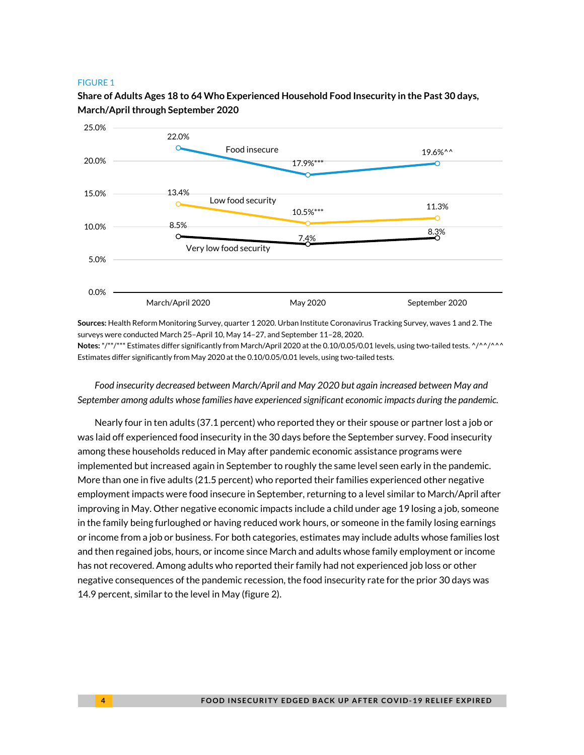#### FIGURE 1

### **Share of Adults Ages 18 to 64 Who Experienced Household Food Insecurity in the Past 30 days, March/April through September 2020**



**Sources:** Health Reform Monitoring Survey, quarter 1 2020. Urban Institute Coronavirus Tracking Survey, waves 1 and 2. The surveys were conducted March 25–April 10, May 14–27, and September 11–28, 2020.

**Notes:** \*/\*\*/\*\*\* Estimates differ significantly from March/April 2020 at the 0.10/0.05/0.01 levels, using two-tailed tests. ^/^^/^^^ Estimates differ significantly from May 2020 at the 0.10/0.05/0.01 levels, using two-tailed tests.

*Food insecurity decreased between March/April and May 2020 but again increased between May and September among adults whose families have experienced significant economic impacts during the pandemic.* 

Nearly four in ten adults (37.1 percent) who reported they or their spouse or partner lost a job or was laid off experienced food insecurity in the 30 days before the September survey. Food insecurity among these households reduced in May after pandemic economic assistance programs were implemented but increased again in September to roughly the same level seen early in the pandemic. More than one in five adults (21.5 percent) who reported their families experienced other negative employment impacts were food insecure in September, returning to a level similar to March/April after improving in May. Other negative economic impacts include a child under age 19 losing a job, someone in the family being furloughed or having reduced work hours, or someone in the family losing earnings or income from a job or business. For both categories, estimates may include adults whose families lost and then regained jobs, hours, or income since March and adults whose family employment or income has not recovered. Among adults who reported their family had not experienced job loss or other negative consequences of the pandemic recession, the food insecurity rate for the prior 30 days was 14.9 percent, similar to the level in May (figure 2).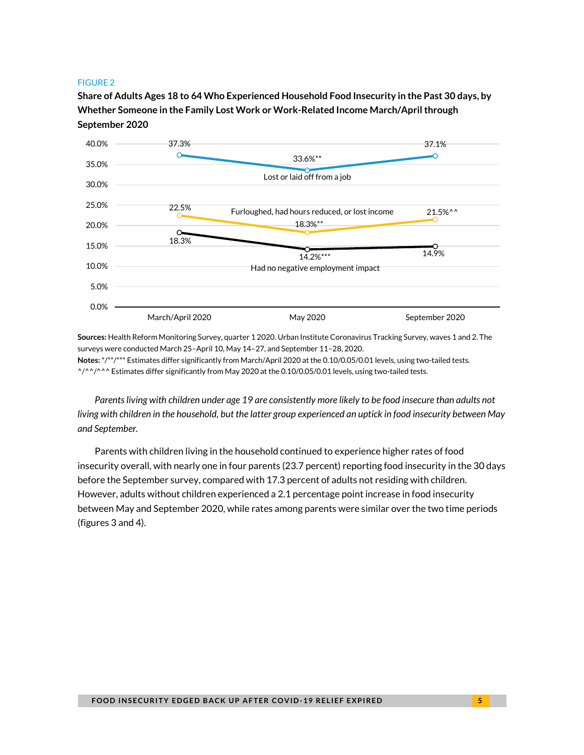#### FIGURE 2

**Share of Adults Ages 18 to 64 Who Experienced Household Food Insecurity in the Past 30 days, by Whether Someone in the Family Lost Work or Work-Related Income March/April through September 2020**



**Sources:** Health Reform Monitoring Survey, quarter 1 2020. Urban Institute Coronavirus Tracking Survey, waves 1 and 2. The surveys were conducted March 25–April 10, May 14–27, and September 11–28, 2020. **Notes:** \*/\*\*/\*\*\* Estimates differ significantly from March/April 2020 at the 0.10/0.05/0.01 levels, using two-tailed tests. ^/^^/^^^ Estimates differ significantly from May 2020 at the 0.10/0.05/0.01 levels, using two-tailed tests.

*Parents living with children under age 19 are consistently more likely to be food insecure than adults not living with children in the household, but the latter group experienced an uptick in food insecurity between May and September.*

Parents with children living in the household continued to experience higher rates of food insecurity overall, with nearly one in four parents (23.7 percent) reporting food insecurity in the 30 days before the September survey, compared with 17.3 percent of adults not residing with children. However, adults without children experienced a 2.1 percentage point increase in food insecurity between May and September 2020, while rates among parents were similar over the two time periods (figures 3 and 4).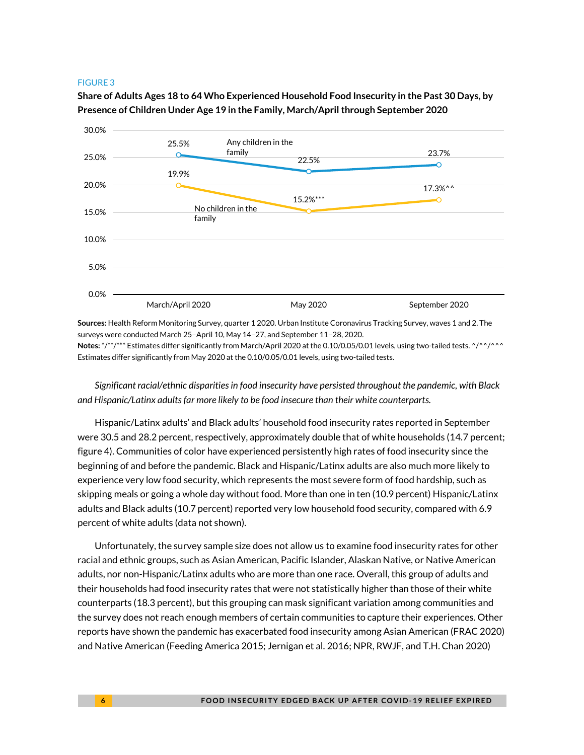#### FIGURE 3

**Share of Adults Ages 18 to 64 Who Experienced Household Food Insecurity in the Past 30 Days, by Presence of Children Under Age 19 in the Family, March/April through September 2020**



**Sources:** Health Reform Monitoring Survey, quarter 1 2020. Urban Institute Coronavirus Tracking Survey, waves 1 and 2. The surveys were conducted March 25–April 10, May 14–27, and September 11–28, 2020.

**Notes:** \*/\*\*/\*\*\* Estimates differ significantly from March/April 2020 at the 0.10/0.05/0.01 levels, using two-tailed tests. ^/^^/^^^ Estimates differ significantly from May 2020 at the 0.10/0.05/0.01 levels, using two-tailed tests.

*Significant racial/ethnic disparities in food insecurity have persisted throughout the pandemic, with Black and Hispanic/Latinx adults far more likely to be food insecure than their white counterparts.*

Hispanic/Latinx adults' and Black adults' household food insecurity rates reported in September were 30.5 and 28.2 percent, respectively, approximately double that of white households (14.7 percent; figure 4). Communities of color have experienced persistently high rates of food insecurity since the beginning of and before the pandemic. Black and Hispanic/Latinx adults are also much more likely to experience very low food security, which represents the most severe form of food hardship, such as skipping meals or going a whole day without food. More than one in ten (10.9 percent) Hispanic/Latinx adults and Black adults (10.7 percent) reported very low household food security, compared with 6.9 percent of white adults (data not shown).

Unfortunately, the survey sample size does not allow us to examine food insecurity rates for other racial and ethnic groups, such as Asian American, Pacific Islander, Alaskan Native, or Native American adults, nor non-Hispanic/Latinx adults who are more than one race. Overall, this group of adults and their households had food insecurity rates that were not statistically higher than those of their white counterparts (18.3 percent), but this grouping can mask significant variation among communities and the survey does not reach enough members of certain communities to capture their experiences. Other reports have shown the pandemic has exacerbated food insecurity among Asian American (FRAC 2020) and Native American (Feeding America 2015; Jernigan et al. 2016; NPR, RWJF, and T.H. Chan 2020)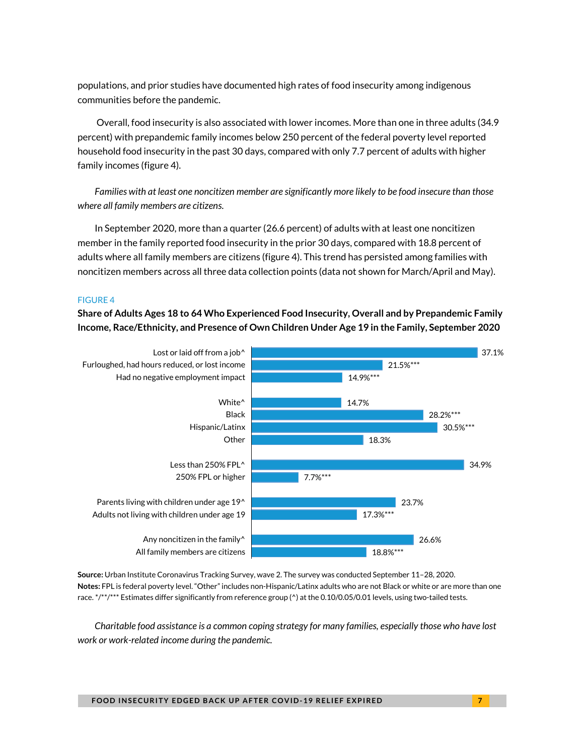populations, and prior studies have documented high rates of food insecurity among indigenous communities before the pandemic.

Overall, food insecurity is also associated with lower incomes. More than one in three adults (34.9 percent) with prepandemic family incomes below 250 percent of the federal poverty level reported household food insecurity in the past 30 days, compared with only 7.7 percent of adults with higher family incomes (figure 4).

*Families with at least one noncitizen member are significantly more likely to be food insecure than those where all family members are citizens.*

In September 2020, more than a quarter (26.6 percent) of adults with at least one noncitizen member in the family reported food insecurity in the prior 30 days, compared with 18.8 percent of adults where all family members are citizens (figure 4). This trend has persisted among families with noncitizen members across all three data collection points (data not shown for March/April and May).

### FIGURE 4

**Share of Adults Ages 18 to 64 Who Experienced Food Insecurity, Overall and by Prepandemic Family Income, Race/Ethnicity, and Presence of Own Children Under Age 19 in the Family, September 2020**



**Source:** Urban Institute Coronavirus Tracking Survey, wave 2. The survey was conducted September 11–28, 2020. **Notes:** FPL is federal poverty level. "Other" includes non-Hispanic/Latinx adults who are not Black or white or are more than one race. \*/\*\*/\*\*\* Estimates differ significantly from reference group (^) at the 0.10/0.05/0.01 levels, using two-tailed tests.

*Charitable food assistance is a common coping strategy for many families, especially those who have lost work or work-related income during the pandemic.*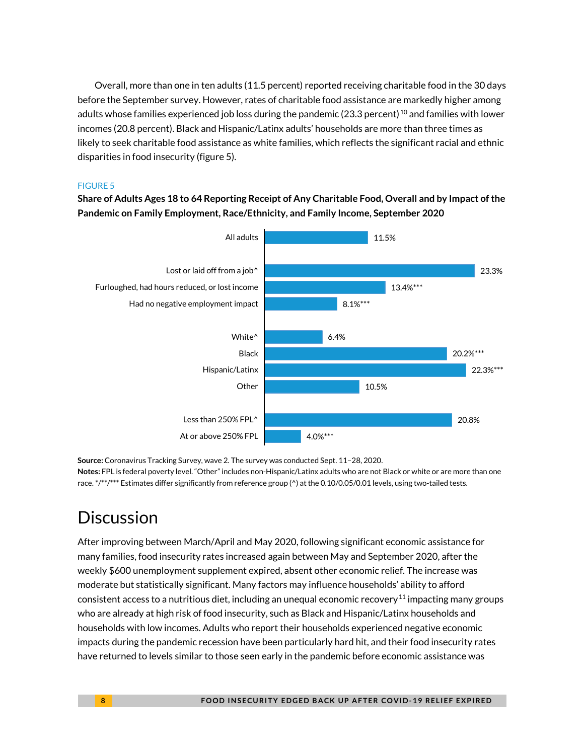Overall, more than one in ten adults (11.5 percent) reported receiving charitable food in the 30 days before the September survey. However, rates of charitable food assistance are markedly higher among adults whose families experienced job loss during the pandemic (23.3 percent)<sup>[10](#page-9-9)</sup> and families with lower incomes (20.8 percent). Black and Hispanic/Latinx adults' households are more than three times as likely to seek charitable food assistance as white families, which reflects the significant racial and ethnic disparities in food insecurity (figure 5).

### FIGURE 5

**Share of Adults Ages 18 to 64 Reporting Receipt of Any Charitable Food, Overall and by Impact of the Pandemic on Family Employment, Race/Ethnicity, and Family Income, September 2020**

![](_page_7_Figure_3.jpeg)

**Source:** Coronavirus Tracking Survey, wave 2. The survey was conducted Sept. 11–28, 2020. **Notes:** FPL is federal poverty level. "Other" includes non-Hispanic/Latinx adults who are not Black or white or are more than one race. \*/\*\*/\*\*\* Estimates differ significantly from reference group ( $\gamma$ ) at the 0.10/0.05/0.01 levels, using two-tailed tests.

### **Discussion**

After improving between March/April and May 2020, following significant economic assistance for many families, food insecurity rates increased again between May and September 2020, after the weekly \$600 unemployment supplement expired, absent other economic relief. The increase was moderate but statistically significant. Many factors may influence households' ability to afford consistent access to a nutritious diet, including an unequal economic recovery<sup>[11](#page-9-10)</sup> impacting many groups who are already at high risk of food insecurity, such as Black and Hispanic/Latinx households and households with low incomes. Adults who report their households experienced negative economic impacts during the pandemic recession have been particularly hard hit, and their food insecurity rates have returned to levels similar to those seen early in the pandemic before economic assistance was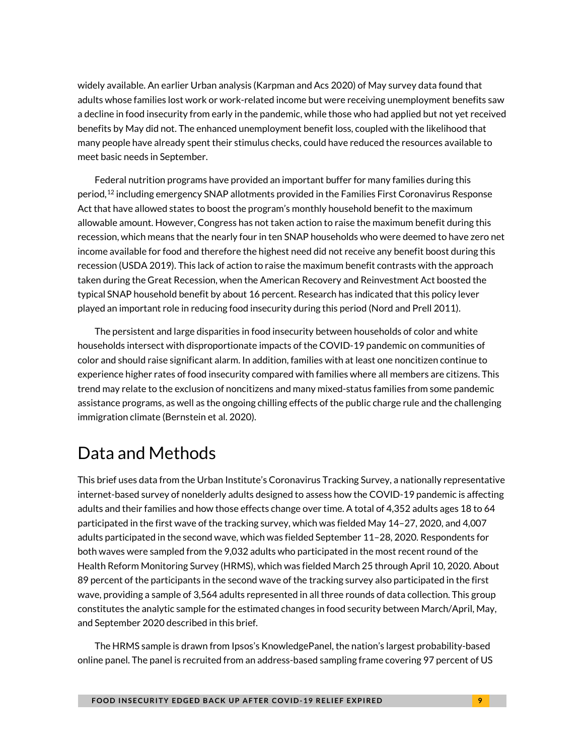widely available. An earlier Urban analysis (Karpman and Acs 2020) of May survey data found that adults whose families lost work or work-related income but were receiving unemployment benefits saw a decline in food insecurity from early in the pandemic, while those who had applied but not yet received benefits by May did not. The enhanced unemployment benefit loss, coupled with the likelihood that many people have already spent their stimulus checks, could have reduced the resources available to meet basic needs in September.

Federal nutrition programs have provided an important buffer for many families during this period,<sup>[12](#page-9-11)</sup> including emergency SNAP allotments provided in the Families First Coronavirus Response Act that have allowed states to boost the program's monthly household benefit to the maximum allowable amount. However, Congress has not taken action to raise the maximum benefit during this recession, which means that the nearly four in ten SNAP households who were deemed to have zero net income available for food and therefore the highest need did not receive any benefit boost during this recession (USDA 2019). This lack of action to raise the maximum benefit contrasts with the approach taken during the Great Recession, when the American Recovery and Reinvestment Act boosted the typical SNAP household benefit by about 16 percent. Research has indicated that this policy lever played an important role in reducing food insecurity during this period (Nord and Prell 2011).

The persistent and large disparities in food insecurity between households of color and white households intersect with disproportionate impacts of the COVID-19 pandemic on communities of color and should raise significant alarm. In addition, families with at least one noncitizen continue to experience higher rates of food insecurity compared with families where all members are citizens. This trend may relate to the exclusion of noncitizens and many mixed-status families from some pandemic assistance programs, as well as the ongoing chilling effects of the public charge rule and the challenging immigration climate (Bernstein et al. 2020).

## Data and Methods

This brief uses data from the Urban Institute's Coronavirus Tracking Survey, a nationally representative internet-based survey of nonelderly adults designed to assess how the COVID-19 pandemic is affecting adults and their families and how those effects change over time. A total of 4,352 adults ages 18 to 64 participated in the first wave of the tracking survey, which was fielded May 14–27, 2020, and 4,007 adults participated in the second wave, which was fielded September 11–28, 2020. Respondents for both waves were sampled from the 9,032 adults who participated in the most recent round of the Health Reform Monitoring Survey (HRMS), which was fielded March 25 through April 10, 2020. About 89 percent of the participants in the second wave of the tracking survey also participated in the first wave, providing a sample of 3,564 adults represented in all three rounds of data collection. This group constitutes the analytic sample for the estimated changes in food security between March/April, May, and September 2020 described in this brief.

The HRMS sample is drawn from Ipsos's KnowledgePanel, the nation's largest probability-based online panel. The panel is recruited from an address-based sampling frame covering 97 percent of US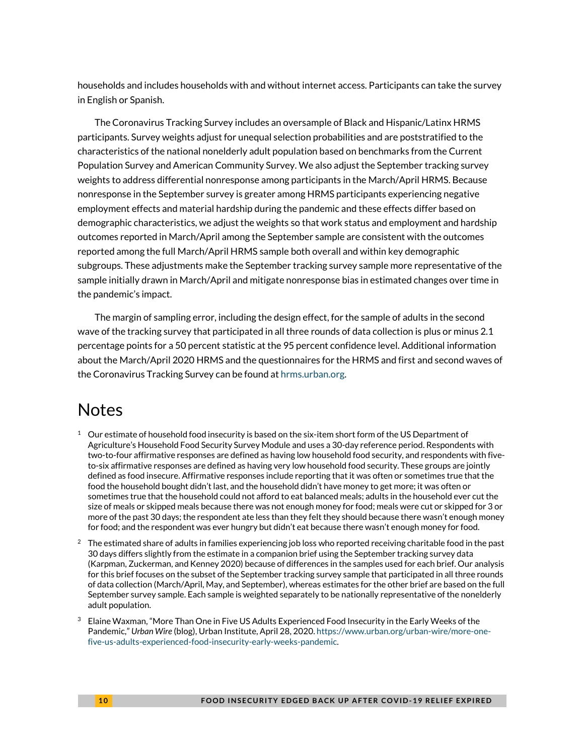<span id="page-9-3"></span>households and includes households with and without internet access. Participants can take the survey in English or Spanish.

<span id="page-9-6"></span><span id="page-9-5"></span><span id="page-9-4"></span>The Coronavirus Tracking Survey includes an oversample of Black and Hispanic/Latinx HRMS participants. Survey weights adjust for unequal selection probabilities and are poststratified to the characteristics of the national nonelderly adult population based on benchmarks from the Current Population Survey and American Community Survey. We also adjust the September tracking survey weights to address differential nonresponse among participants in the March/April HRMS. Because nonresponse in the September survey is greater among HRMS participants experiencing negative employment effects and material hardship during the pandemic and these effects differ based on demographic characteristics, we adjust the weights so that work status and employment and hardship outcomes reported in March/April among the September sample are consistent with the outcomes reported among the full March/April HRMS sample both overall and within key demographic subgroups. These adjustments make the September tracking survey sample more representative of the sample initially drawn in March/April and mitigate nonresponse bias in estimated changes over time in the pandemic's impact.

<span id="page-9-10"></span><span id="page-9-9"></span><span id="page-9-8"></span><span id="page-9-7"></span>The margin of sampling error, including the design effect, for the sample of adults in the second wave of the tracking survey that participated in all three rounds of data collection is plus or minus 2.1 percentage points for a 50 percent statistic at the 95 percent confidence level. Additional information about the March/April 2020 HRMS and the questionnaires for the HRMS and first and second waves of the Coronavirus Tracking Survey can be found a[t hrms.urban.org.](https://hrms.urban.org/)

### <span id="page-9-11"></span>**Notes**

- <span id="page-9-0"></span> $1$  Our estimate of household food insecurity is based on the six-item short form of the US Department of Agriculture's Household Food Security Survey Module and uses a 30-day reference period. Respondents with two-to-four affirmative responses are defined as having low household food security, and respondents with fiveto-six affirmative responses are defined as having very low household food security. These groups are jointly defined as food insecure. Affirmative responses include reporting that it was often or sometimes true that the food the household bought didn't last, and the household didn't have money to get more; it was often or sometimes true that the household could not afford to eat balanced meals; adults in the household ever cut the size of meals or skipped meals because there was not enough money for food; meals were cut or skipped for 3 or more of the past 30 days; the respondent ate less than they felt they should because there wasn't enough money for food; and the respondent was ever hungry but didn't eat because there wasn't enough money for food.
- <span id="page-9-1"></span> $^2$  The estimated share of adults in families experiencing job loss who reported receiving charitable food in the past 30 days differs slightly from the estimate in a companion brief using the September tracking survey data (Karpman, Zuckerman, and Kenney 2020) because of differences in the samples used for each brief. Our analysis for this brief focuses on the subset of the September tracking survey sample that participated in all three rounds of data collection (March/April, May, and September), whereas estimates for the other brief are based on the full September survey sample. Each sample is weighted separately to be nationally representative of the nonelderly adult population.
- <span id="page-9-2"></span> $^3$  Elaine Waxman, "More Than One in Five US Adults Experienced Food Insecurity in the Early Weeks of the Pandemic," *Urban Wire* (blog), Urban Institute, April 28, 2020[. https://www.urban.org/urban-wire/more-one](https://www.urban.org/urban-wire/more-one-five-us-adults-experienced-food-insecurity-early-weeks-pandemic)[five-us-adults-experienced-food-insecurity-early-weeks-pandemic.](https://www.urban.org/urban-wire/more-one-five-us-adults-experienced-food-insecurity-early-weeks-pandemic)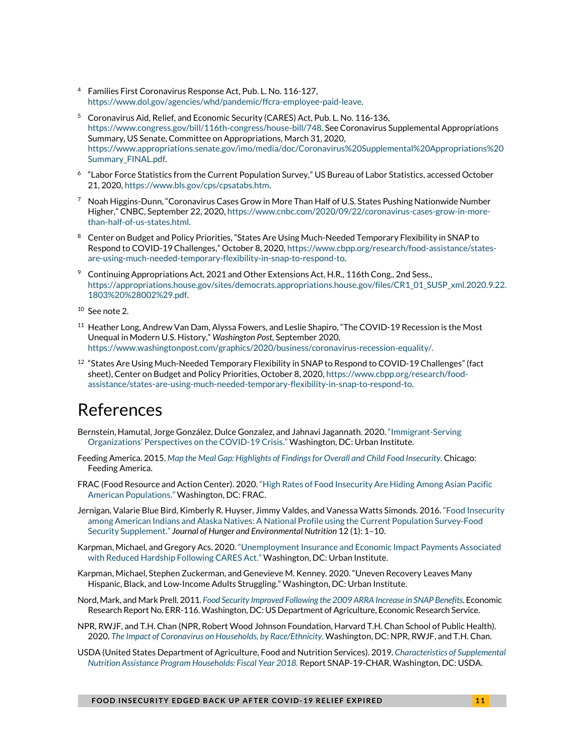- <sup>4</sup> Families First Coronavirus Response Act, Pub. L. No. 116-127, [https://www.dol.gov/agencies/whd/pandemic/ffcra-employee-paid-leave.](https://www.dol.gov/agencies/whd/pandemic/ffcra-employee-paid-leave)
- <sup>5</sup> Coronavirus Aid, Relief, and Economic Security (CARES) Act, Pub. L. No. 116-136, [https://www.congress.gov/bill/116th-congress/house-bill/748.](https://www.congress.gov/bill/116th-congress/house-bill/748) See Coronavirus Supplemental Appropriations Summary, US Senate, Committee on Appropriations, March 31, 2020, [https://www.appropriations.senate.gov/imo/media/doc/Coronavirus%20Supplemental%20Appropriations%20](https://www.appropriations.senate.gov/imo/media/doc/Coronavirus%20Supplemental%20Appropriations%20Summary_FINAL.pdf) [Summary\\_FINAL.pdf.](https://www.appropriations.senate.gov/imo/media/doc/Coronavirus%20Supplemental%20Appropriations%20Summary_FINAL.pdf)
- <sup>6</sup> "Labor Force Statistics from the Current Population Survey," US Bureau of Labor Statistics, accessed October 21, 2020[, https://www.bls.gov/cps/cpsatabs.htm.](https://www.bls.gov/cps/cpsatabs.htm)
- $^7$  Noah Higgins-Dunn, "Coronavirus Cases Grow in More Than Half of U.S. States Pushing Nationwide Number Higher," CNBC, September 22, 2020[, https://www.cnbc.com/2020/09/22/coronavirus-cases-grow-in-more](https://www.cnbc.com/2020/09/22/coronavirus-cases-grow-in-more-than-half-of-us-states.html)[than-half-of-us-states.html.](https://www.cnbc.com/2020/09/22/coronavirus-cases-grow-in-more-than-half-of-us-states.html)
- <sup>8</sup> Center on Budget and Policy Priorities, "States Are Using Much-Needed Temporary Flexibility in SNAP to Respond to COVID-19 Challenges," October 8, 2020[, https://www.cbpp.org/research/food-assistance/states](https://www.cbpp.org/research/food-assistance/states-are-using-much-needed-temporary-flexibility-in-snap-to-respond-to)[are-using-much-needed-temporary-flexibility-in-snap-to-respond-to.](https://www.cbpp.org/research/food-assistance/states-are-using-much-needed-temporary-flexibility-in-snap-to-respond-to)
- <sup>9</sup> Continuing Appropriations Act, 2021 and Other Extensions Act, H.R., 116th Cong., 2nd Sess., [https://appropriations.house.gov/sites/democrats.appropriations.house.gov/files/CR1\\_01\\_SUSP\\_xml.2020.9.22.](https://appropriations.house.gov/sites/democrats.appropriations.house.gov/files/CR1_01_SUSP_xml.2020.9.22.1803%20%28002%29.pdf) [1803%20%28002%29.pdf.](https://appropriations.house.gov/sites/democrats.appropriations.house.gov/files/CR1_01_SUSP_xml.2020.9.22.1803%20%28002%29.pdf)
- <sup>10</sup> See note 2.
- $11$  Heather Long, Andrew Van Dam, Alyssa Fowers, and Leslie Shapiro, "The COVID-19 Recession is the Most Unequal in Modern U.S. History," *Washington Post,* September 2020, [https://www.washingtonpost.com/graphics/2020/business/coronavirus-recession-equality/.](https://www.washingtonpost.com/graphics/2020/business/coronavirus-recession-equality/)
- $12$  "States Are Using Much-Needed Temporary Flexibility in SNAP to Respond to COVID-19 Challenges" (fact sheet), Center on Budget and Policy Priorities, October 8, 2020[, https://www.cbpp.org/research/food](https://www.cbpp.org/research/food-assistance/states-are-using-much-needed-temporary-flexibility-in-snap-to-respond-to)[assistance/states-are-using-much-needed-temporary-flexibility-in-snap-to-respond-to.](https://www.cbpp.org/research/food-assistance/states-are-using-much-needed-temporary-flexibility-in-snap-to-respond-to)

### References

- Bernstein, Hamutal, Jorge González, Dulce Gonzalez, and Jahnavi Jagannath. 2020. ["Immigrant-Serving](https://www.urban.org/research/publication/immigrant-serving-organizations-perspectives-covid-19-crisis)  [Organizations' Perspectives on the COVID-19 Crisis."](https://www.urban.org/research/publication/immigrant-serving-organizations-perspectives-covid-19-crisis) Washington, DC: Urban Institute.
- Feeding America. 2015. *[Map the Meal Gap: Highlights of Findings for Overall and Child Food Insecurity.](https://www.feedingamerica.org/sites/default/files/research/map-the-meal-gap/2013/map-the-meal-gap-2013-exec-summ.pdf)* Chicago: Feeding America.
- FRAC (Food Resource and Action Center). 2020[. "High Rates of Food Insecurity Are Hiding Among Asian Pacific](https://frac.org/wp-content/uploads/issue-brief-apa-2020.pdf)  [American Populations."](https://frac.org/wp-content/uploads/issue-brief-apa-2020.pdf) Washington, DC: FRAC.
- Jernigan, Valarie Blue Bird, Kimberly R. Huyser, Jimmy Valdes, and Vanessa Watts Simonds. 2016[. "Food Insecurity](https://www.ncbi.nlm.nih.gov/pmc/articles/PMC5422031/)  [among American Indians and Alaska Natives: A National Profile using the Current Population Survey-Food](https://www.ncbi.nlm.nih.gov/pmc/articles/PMC5422031/)  [Security Supplement."](https://www.ncbi.nlm.nih.gov/pmc/articles/PMC5422031/) *Journal of Hunger and Environmental Nutrition* 12 (1): 1–10.
- Karpman, Michael, and Gregory Acs. 2020. ["Unemployment Insurance and Economic Impact Payments Associated](https://www.urban.org/research/publication/unemployment-insurance-and-economic-impact-payments-associated-reduced-hardship-following-cares-act)  [with Reduced Hardship Following CARES Act."](https://www.urban.org/research/publication/unemployment-insurance-and-economic-impact-payments-associated-reduced-hardship-following-cares-act) Washington, DC: Urban Institute.
- Karpman, Michael, Stephen Zuckerman, and Genevieve M. Kenney. 2020. "Uneven Recovery Leaves Many Hispanic, Black, and Low-Income Adults Struggling." Washington, DC: Urban Institute.
- Nord, Mark, and Mark Prell. 2011. *Food Security Improved Following the 2009 ARRA Increase in SNAP Benefits*. Economic Research Report No. ERR-116. Washington, DC: US Department of Agriculture, Economic Research Service.
- NPR, RWJF, and T.H. Chan (NPR, Robert Wood Johnson Foundation, Harvard T.H. Chan School of Public Health). 2020. *[The Impact of Coronavirus on Households, by Race/Ethnicity.](https://www.rwjf.org/en/library/research/2020/09/the-impact-of-coronavirus-on-households-across-america.html)* Washington, DC: NPR, RWJF, and T.H. Chan.
- USDA (United States Department of Agriculture, Food and Nutrition Services). 2019. *[Characteristics of Supplemental](https://fns-prod.azureedge.net/sites/default/files/resource-files/Characteristics2018.pdf)  [Nutrition Assistance Program Households: Fiscal Year 2018.](https://fns-prod.azureedge.net/sites/default/files/resource-files/Characteristics2018.pdf)* Report SNAP-19-CHAR. Washington, DC: USDA.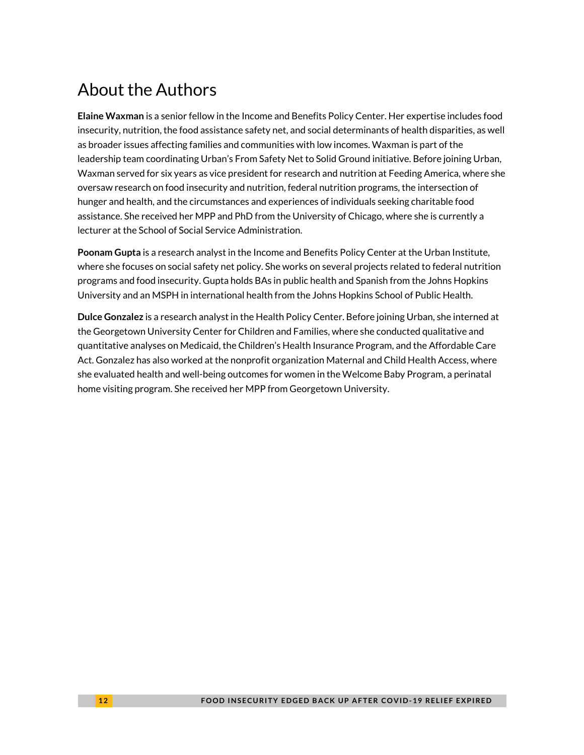# About the Authors

**Elaine Waxman** is a senior fellow in the Income and Benefits Policy Center. Her expertise includes food insecurity, nutrition, the food assistance safety net, and social determinants of health disparities, as well as broader issues affecting families and communities with low incomes. Waxman is part of the leadership team coordinating Urban's From Safety Net to Solid Ground initiative. Before joining Urban, Waxman served for six years as vice president for research and nutrition at Feeding America, where she oversaw research on food insecurity and nutrition, federal nutrition programs, the intersection of hunger and health, and the circumstances and experiences of individuals seeking charitable food assistance. She received her MPP and PhD from the University of Chicago, where she is currently a lecturer at the School of Social Service Administration.

**Poonam Gupta** is a research analyst in the Income and Benefits Policy Center at the Urban Institute, where she focuses on social safety net policy. She works on several projects related to federal nutrition programs and food insecurity. Gupta holds BAs in public health and Spanish from the Johns Hopkins University and an MSPH in international health from the Johns Hopkins School of Public Health.

**Dulce Gonzalez** is a research analyst in the Health Policy Center. Before joining Urban, she interned at the Georgetown University Center for Children and Families, where she conducted qualitative and quantitative analyses on Medicaid, the Children's Health Insurance Program, and the Affordable Care Act. Gonzalez has also worked at the nonprofit organization Maternal and Child Health Access, where she evaluated health and well-being outcomes for women in the Welcome Baby Program, a perinatal home visiting program. She received her MPP from Georgetown University.